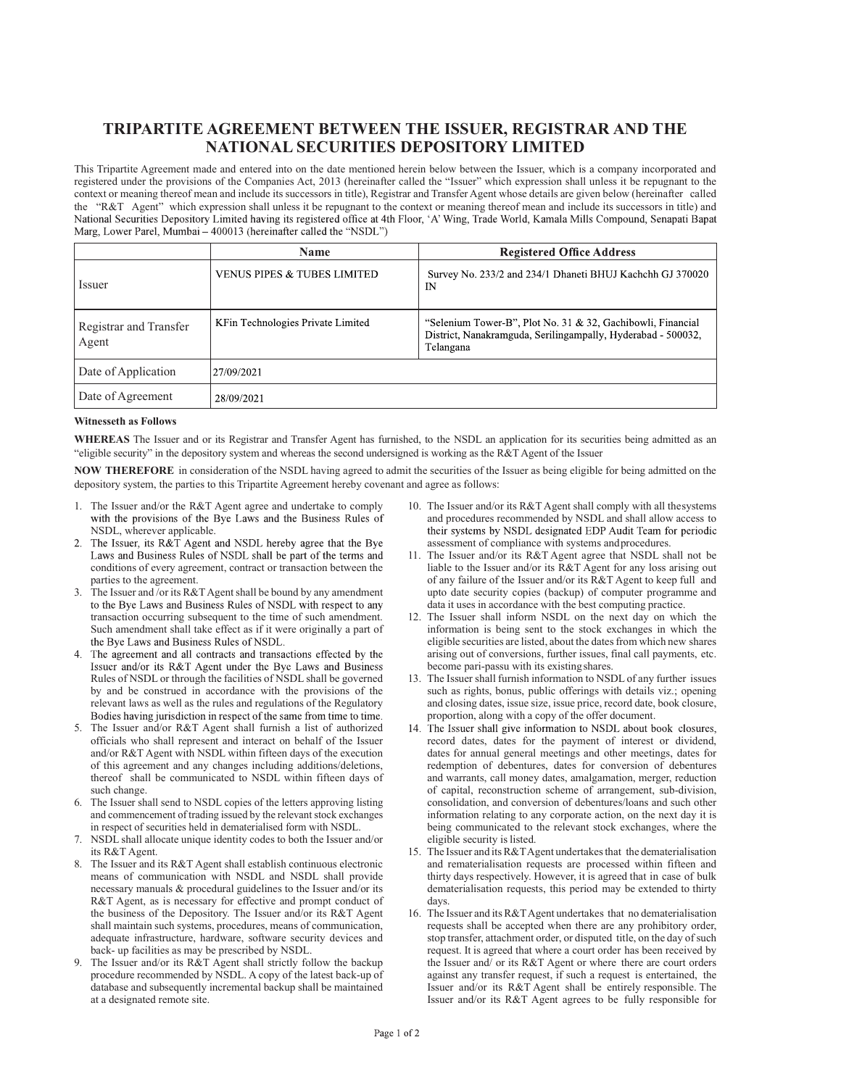## TRIPARTITE AGREEMENT BETWEEN THE ISSUER, REGISTRAR AND THE NATIONAL SECURITIES DEPOSITORY LIMITED

This Tripartite Agreement made and entered into on the date mentioned herein below between the Issuer, which is a company incorporated and registered under the provisions of the Companies Act, 2013 (hereinafter called the "Issuer" which expression shall unless it be repugnant to the context or meaning thereof mean and include its successors in title), Registrar and Transfer Agent whose details are given below (hereinafter called the "R&T Agent" which expression shall unless it be repugnant to the context or meaning thereof mean and include its successors in title) and National Securities Depository Limited having its registered office at 4th Floor Marg, Lower Parel, Mumbai – 400013 (hereinafter called the "NSDL")

|                                 | <b>Name</b>                            | <b>Registered Office Address</b>                                                                                                         |
|---------------------------------|----------------------------------------|------------------------------------------------------------------------------------------------------------------------------------------|
| Issuer                          | <b>VENUS PIPES &amp; TUBES LIMITED</b> | Survey No. 233/2 and 234/1 Dhaneti BHUJ Kachchh GJ 370020<br>IN                                                                          |
| Registrar and Transfer<br>Agent | KFin Technologies Private Limited      | "Selenium Tower-B", Plot No. 31 & 32, Gachibowli, Financial<br>District, Nanakramguda, Serilingampally, Hyderabad - 500032,<br>Telangana |
| Date of Application             | 27/09/2021                             |                                                                                                                                          |
| Date of Agreement               | 28/09/2021                             |                                                                                                                                          |

## Witnesseth as Follows

WHEREAS The Issuer and or its Registrar and Transfer Agent has furnished, to the NSDL an application for its securities being admitted as an "eligible security" in the depository system and whereas the second undersigned is working as the R&T Agent of the Issuer

NOW THEREFORE in consideration of the NSDL having agreed to admit the securities of the Issuer as being eligible for being admitted on the depository system, the parties to this Tripartite Agreement hereby covenant and agree as follows:

- 1. The Issuer and/or the R&T Agent agree and undertake to comply with the provisions of the Bye Laws and the Business Rules of
- NSDL, wherever applicable.<br>2. The Issuer, its R&T Agent and NSDL hereby agree that the Bye Laws and Business Rules of NSDL shall be part of the terms and conditions of every agreement, contract or transaction between the parties to the agreement.
- 3. The Issuer and /or its R&T Agent shall be bound by any amendment transaction occurring subsequent to the time of such amendment. Such amendment shall take effect as if it were originally a part of the Bye Laws and Business Rules of NSDL.
- 4. The agreement and all contracts and transactions effected by the Issuer and/or its R&T Agent under the Bye Laws and Business Rules of NSDL or through the facilities of NSDL shall be governed by and be construed in accordance with the provisions of the relevant laws as well as the rules and regulations of the Regulatory Bodies having jurisdiction in respect of the same from time to time.
- 5. The Issuer and/or R&T Agent shall furnish a list of authorized officials who shall represent and interact on behalf of the Issuer and/or R&T Agent with NSDL within fifteen days of the execution of this agreement and any changes including additions/deletions, thereof shall be communicated to NSDL within fifteen days of such change.
- 6. The Issuer shall send to NSDL copies of the letters approving listing and commencement of trading issued by the relevant stock exchanges in respect of securities held in dematerialised form with NSDL.
- 7. NSDL shall allocate unique identity codes to both the Issuer and/or its R&T Agent.
- 8. The Issuer and its R&T Agent shall establish continuous electronic means of communication with NSDL and NSDL shall provide necessary manuals & procedural guidelines to the Issuer and/or its R&T Agent, as is necessary for effective and prompt conduct of the business of the Depository. The Issuer and/or its R&T Agent shall maintain such systems, procedures, means of communication, adequate infrastructure, hardware, software security devices and back- up facilities as may be prescribed by NSDL.
- 9. The Issuer and/or its R&T Agent shall strictly follow the backup procedure recommended by NSDL. A copy of the latest back-up of database and subsequently incremental backup shall be maintained at a designated remote site.
- 10. The Issuer and/or its R&T Agent shall comply with all the systems and procedures recommended by NSDL and shall allow access to their systems by NSDL designated EDP Audit Team for periodic assessment of compliance with systems and procedures.
- 11. The Issuer and/or its R&T Agent agree that NSDL shall not be liable to the Issuer and/or its R&T Agent for any loss arising out of any failure of the Issuer and/or its R&T Agent to keep full and upto date security copies (backup) of computer programme and data it uses in accordance with the best computing practice.
- 12. The Issuer shall inform NSDL on the next day on which the information is being sent to the stock exchanges in which the eligible securities are listed, about the dates from which new shares arising out of conversions, further issues, final call payments, etc. become pari-passu with its existing shares.
- 13. The Issuer shall furnish information to NSDL of any further issues such as rights, bonus, public offerings with details viz.; opening and closing dates, issue size, issue price, record date, book closure, proportion, along with a copy of the offer document.<br>14. The Issuer shall give information to NSDL about book closures,
- record dates, dates for the payment of interest or dividend, dates for annual general meetings and other meetings, dates for redemption of debentures, dates for conversion of debentures and warrants, call money dates, amalgamation, merger, reduction of capital, reconstruction scheme of arrangement, sub-division, consolidation, and conversion of debentures/loans and such other information relating to any corporate action, on the next day it is being communicated to the relevant stock exchanges, where the eligible security is listed.
- 15. The Issuer and its R&T Agent undertakes that the dematerialisation and rematerialisation requests are processed within fifteen and thirty days respectively. However, it is agreed that in case of bulk dematerialisation requests, this period may be extended to thirty days.
- 16. The Issuer and its R&T Agent undertakes that no dematerialisation requests shall be accepted when there are any prohibitory order, stop transfer, attachment order, or disputed title, on the day of such request. It is agreed that where a court order has been received by the Issuer and/ or its R&T Agent or where there are court orders against any transfer request, if such a request is entertained, the Issuer and/or its R&T Agent shall be entirely responsible. The Issuer and/or its R&T Agent agrees to be fully responsible for